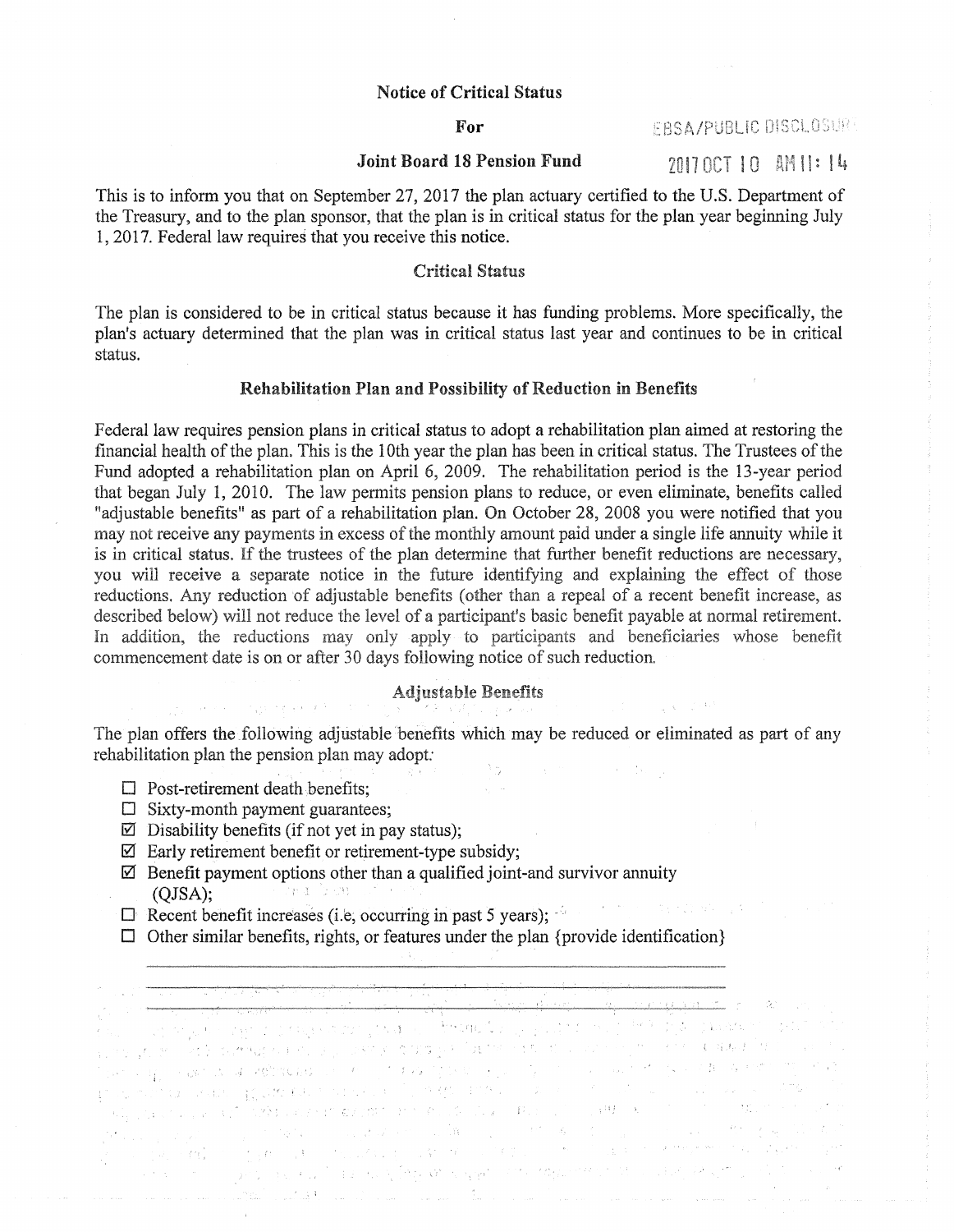## Notice of Critical Status

### For

# EBSA/PUBLIC DISCLOSURE

# Joint Board 18 Pension Fund  $201700710$  AM  $1!: 14$

This is to inform you that on September 27, 2017 the plan actuary certified to the U.S. Department of the Treasury, and to the plan sponsor, that the plan is in critical status for the plan year beginning July 1, 2017. Federal law requires that you receive this notice.

# Critical Status

The plan is considered to be in critical status because it has funding problems. More specifically, the plan's actuary determined that the plan was in critical status last year and continues to be in critical status.

#### Rehabilitation Plan and Possibility of Reduction in Benefits

Federal law requires pension plans in critical status to adopt a rehabilitation plan aimed at restoring the financial health of the plan. This is the 10th year the plan has been in critical status. The Trustees of the Fund adopted a rehabilitation plan on April 6, 2009. The rehabilitation period is the 13~year period that began July 1, 2010. The law permits pension plans to reduce, or even eliminate, benefits called "adjustable benefits" as part of a rehabilitation plan. On October 28, 2008 you were notified that you may not receive any payments in excess of the monthly amount paid under a single life annuity while it is in critical status. If the trustees of the plan determine that further benefit reductions are necessary, you will receive a separate notice in the future identifying and explaining the effect of those reductions. Any reduction of adjustable benefits (other than a repeal of a recent benefit increase, as described below) will not reduce the level of a participant's basic benefit payable at normal retirement. In addition, the reductions may only apply to participants and beneficiaries whose benefit commencement date is on or after 30 days following notice of such reduction.

# Adjustable Benefits

The plan offers the following adjustable benefits which may be reduced or eliminated as part of any rehabilitation plan the pension plan may adopt:

 $\sqrt{1-\Delta t}$ 

- $\Box$  Post-retirement death benefits;
- $\square$  Sixty-month payment guarantees;
- $\boxtimes$  Disability benefits (if not yet in pay status);

经济的 网络阿拉伯人名英巴伯人

- $\boxtimes$  Early retirement benefit or retirement-type subsidy;
- $\boxtimes$  Benefit payment options other than a qualified joint-and survivor annuity (OISA). (QJSA); **Standard Control**
- $\Box$  Recent benefit increases (i.e, occurring in past 5 years);
- $\square$  Other similar benefits, rights, or features under the plan {provide identification}

i sa kacamatan ing Kabupatèn Kabupatèn Palau Propinsi Jawa Kabupatèn Propinsi Jawa Kabupatèn Kabupatèn Kalipun n a n<del>a haga guna a santa a chun a bha ata tar a she</del>il anns a tasair file ann an t-ainm a t-ainm an ainm a chu<br>Ann aig an Aire agus a bheag casan go coglaiche a theangail an Aire ann an 1969. Tha suasachadh sa caidh an 19 a satistica por transferência de Maria de Constitución de Constitución de Constitución.<br>1999 - Alexandro de Constitución de Maria de Carlos de Constitución de Constitución de la constitución de Mar<br>1990 - Alexandro de Carl a internativa a a fight and a conserver to be contained by the tiple of the second and and all the second and<br>A top a company spectral of the weighty with papel and a tiple of the second and a second of second and all an a.<br>1944 - Paul Marie Van Villa en Santa Carlos de Marie Van Marie Van Marie Van Marie Van Marie Van Hermann (194